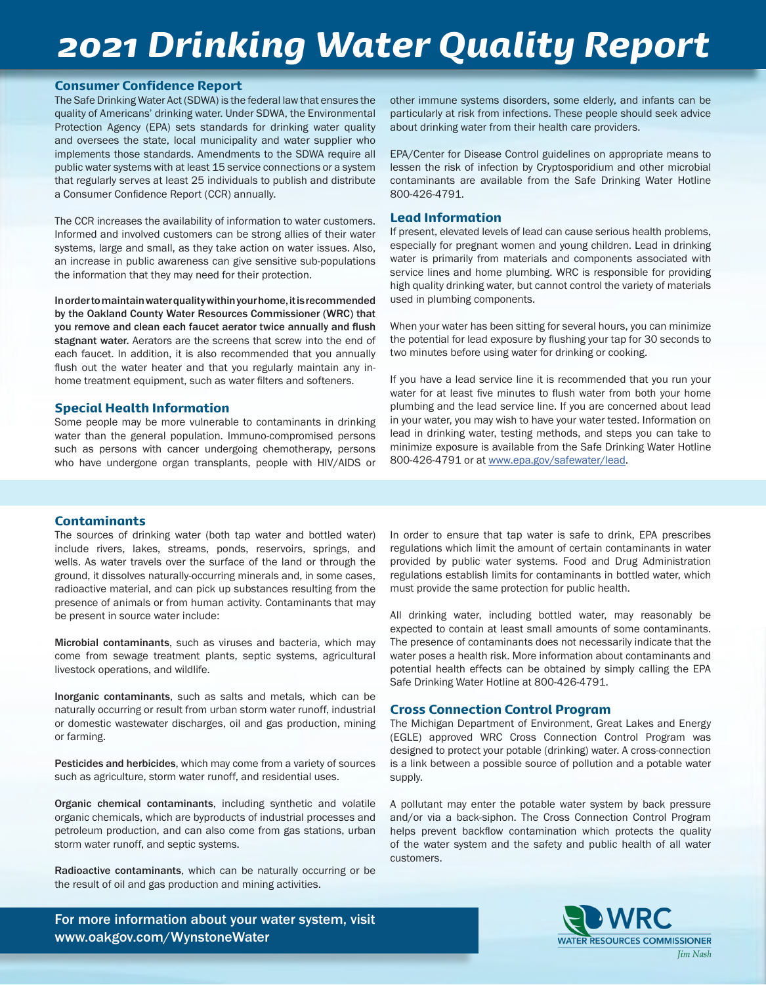## *2021 Drinking Water Quality Report*

#### Consumer Confidence Report

The Safe Drinking Water Act (SDWA) is the federal law that ensures the quality of Americans' drinking water. Under SDWA, the Environmental Protection Agency (EPA) sets standards for drinking water quality and oversees the state, local municipality and water supplier who implements those standards. Amendments to the SDWA require all public water systems with at least 15 service connections or a system that regularly serves at least 25 individuals to publish and distribute a Consumer Confidence Report (CCR) annually.

The CCR increases the availability of information to water customers. Informed and involved customers can be strong allies of their water systems, large and small, as they take action on water issues. Also, an increase in public awareness can give sensitive sub-populations the information that they may need for their protection.

In order to maintain water quality within your home, it is recommended by the Oakland County Water Resources Commissioner (WRC) that you remove and clean each faucet aerator twice annually and flush stagnant water. Aerators are the screens that screw into the end of each faucet. In addition, it is also recommended that you annually flush out the water heater and that you regularly maintain any inhome treatment equipment, such as water filters and softeners.

#### Special Health Information

Some people may be more vulnerable to contaminants in drinking water than the general population. Immuno-compromised persons such as persons with cancer undergoing chemotherapy, persons who have undergone organ transplants, people with HIV/AIDS or

other immune systems disorders, some elderly, and infants can be particularly at risk from infections. These people should seek advice about drinking water from their health care providers.

EPA/Center for Disease Control guidelines on appropriate means to lessen the risk of infection by Cryptosporidium and other microbial contaminants are available from the Safe Drinking Water Hotline 800-426-4791.

#### Lead Information

If present, elevated levels of lead can cause serious health problems, especially for pregnant women and young children. Lead in drinking water is primarily from materials and components associated with service lines and home plumbing. WRC is responsible for providing high quality drinking water, but cannot control the variety of materials used in plumbing components.

When your water has been sitting for several hours, you can minimize the potential for lead exposure by flushing your tap for 30 seconds to two minutes before using water for drinking or cooking.

If you have a lead service line it is recommended that you run your water for at least five minutes to flush water from both your home plumbing and the lead service line. If you are concerned about lead in your water, you may wish to have your water tested. Information on lead in drinking water, testing methods, and steps you can take to minimize exposure is available from the Safe Drinking Water Hotline 800-426-4791 or at www.epa.gov/safewater/lead.

#### Contaminants

The sources of drinking water (both tap water and bottled water) include rivers, lakes, streams, ponds, reservoirs, springs, and wells. As water travels over the surface of the land or through the ground, it dissolves naturally-occurring minerals and, in some cases, radioactive material, and can pick up substances resulting from the presence of animals or from human activity. Contaminants that may be present in source water include:

Microbial contaminants, such as viruses and bacteria, which may come from sewage treatment plants, septic systems, agricultural livestock operations, and wildlife.

Inorganic contaminants, such as salts and metals, which can be naturally occurring or result from urban storm water runoff, industrial or domestic wastewater discharges, oil and gas production, mining or farming.

Pesticides and herbicides, which may come from a variety of sources such as agriculture, storm water runoff, and residential uses.

Organic chemical contaminants, including synthetic and volatile organic chemicals, which are byproducts of industrial processes and petroleum production, and can also come from gas stations, urban storm water runoff, and septic systems.

Radioactive contaminants, which can be naturally occurring or be the result of oil and gas production and mining activities.

For more information about your water system, visit www.oakgov.com/WynstoneWater

In order to ensure that tap water is safe to drink, EPA prescribes regulations which limit the amount of certain contaminants in water provided by public water systems. Food and Drug Administration regulations establish limits for contaminants in bottled water, which must provide the same protection for public health.

All drinking water, including bottled water, may reasonably be expected to contain at least small amounts of some contaminants. The presence of contaminants does not necessarily indicate that the water poses a health risk. More information about contaminants and potential health effects can be obtained by simply calling the EPA Safe Drinking Water Hotline at 800-426-4791.

#### Cross Connection Control Program

The Michigan Department of Environment, Great Lakes and Energy (EGLE) approved WRC Cross Connection Control Program was designed to protect your potable (drinking) water. A cross-connection is a link between a possible source of pollution and a potable water supply.

A pollutant may enter the potable water system by back pressure and/or via a back-siphon. The Cross Connection Control Program helps prevent backflow contamination which protects the quality of the water system and the safety and public health of all water customers.

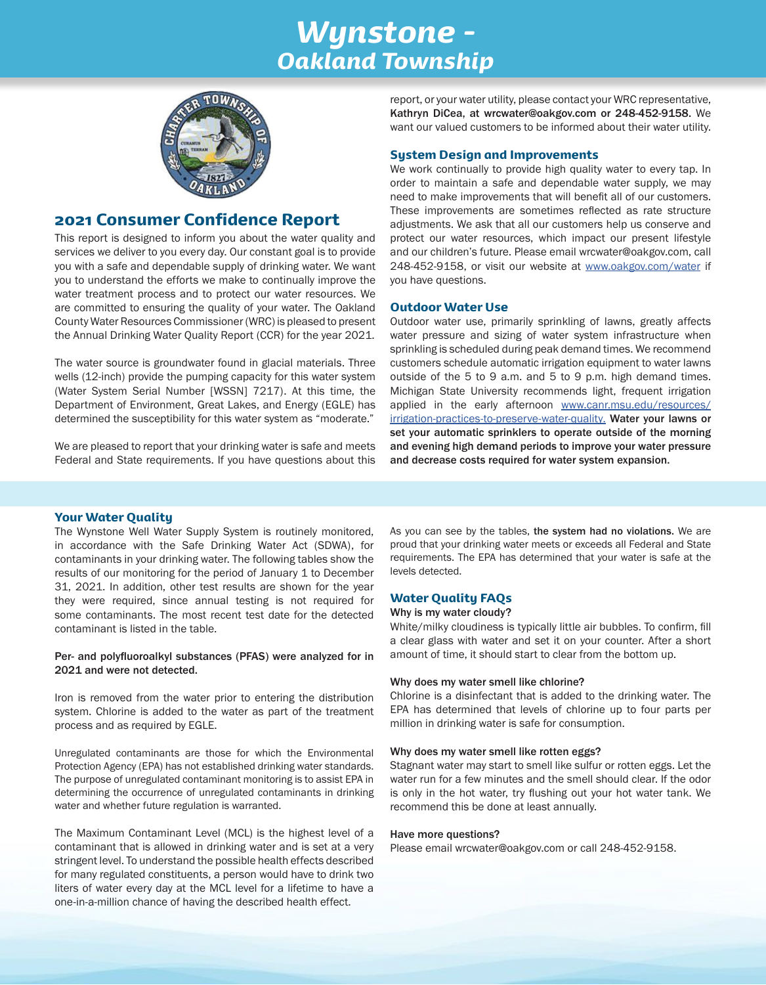## *Wynstone - Oakland Township*



#### 2021 Consumer Confidence Report

This report is designed to inform you about the water quality and services we deliver to you every day. Our constant goal is to provide you with a safe and dependable supply of drinking water. We want you to understand the efforts we make to continually improve the water treatment process and to protect our water resources. We are committed to ensuring the quality of your water. The Oakland County Water Resources Commissioner (WRC) is pleased to present the Annual Drinking Water Quality Report (CCR) for the year 2021.

The water source is groundwater found in glacial materials. Three wells (12-inch) provide the pumping capacity for this water system (Water System Serial Number [WSSN] 7217). At this time, the Department of Environment, Great Lakes, and Energy (EGLE) has determined the susceptibility for this water system as "moderate."

We are pleased to report that your drinking water is safe and meets Federal and State requirements. If you have questions about this report, or your water utility, please contact your WRC representative, Kathryn DiCea, at wrcwater@oakgov.com or 248-452-9158. We want our valued customers to be informed about their water utility.

#### System Design and Improvements

We work continually to provide high quality water to every tap. In order to maintain a safe and dependable water supply, we may need to make improvements that will benefit all of our customers. These improvements are sometimes reflected as rate structure adjustments. We ask that all our customers help us conserve and protect our water resources, which impact our present lifestyle and our children's future. Please email wrcwater@oakgov.com, call 248-452-9158, or visit our website at www.oakgov.com/water if you have questions.

#### Outdoor Water Use

Outdoor water use, primarily sprinkling of lawns, greatly affects water pressure and sizing of water system infrastructure when sprinkling is scheduled during peak demand times. We recommend customers schedule automatic irrigation equipment to water lawns outside of the 5 to 9 a.m. and 5 to 9 p.m. high demand times. Michigan State University recommends light, frequent irrigation applied in the early afternoon www.canr.msu.edu/resources/ irrigation-practices-to-preserve-water-quality. Water your lawns or set your automatic sprinklers to operate outside of the morning and evening high demand periods to improve your water pressure and decrease costs required for water system expansion.

#### Your Water Quality

The Wynstone Well Water Supply System is routinely monitored, in accordance with the Safe Drinking Water Act (SDWA), for contaminants in your drinking water. The following tables show the results of our monitoring for the period of January 1 to December 31, 2021. In addition, other test results are shown for the year they were required, since annual testing is not required for some contaminants. The most recent test date for the detected contaminant is listed in the table.

#### Per- and polyfluoroalkyl substances (PFAS) were analyzed for in 2021 and were not detected.

Iron is removed from the water prior to entering the distribution system. Chlorine is added to the water as part of the treatment process and as required by EGLE.

Unregulated contaminants are those for which the Environmental Protection Agency (EPA) has not established drinking water standards. The purpose of unregulated contaminant monitoring is to assist EPA in determining the occurrence of unregulated contaminants in drinking water and whether future regulation is warranted.

The Maximum Contaminant Level (MCL) is the highest level of a contaminant that is allowed in drinking water and is set at a very stringent level. To understand the possible health effects described for many regulated constituents, a person would have to drink two liters of water every day at the MCL level for a lifetime to have a one-in-a-million chance of having the described health effect.

As you can see by the tables, the system had no violations. We are proud that your drinking water meets or exceeds all Federal and State requirements. The EPA has determined that your water is safe at the levels detected.

#### Water Quality FAQs

#### Why is my water cloudy?

White/milky cloudiness is typically little air bubbles. To confirm, fill a clear glass with water and set it on your counter. After a short amount of time, it should start to clear from the bottom up.

#### Why does my water smell like chlorine?

Chlorine is a disinfectant that is added to the drinking water. The EPA has determined that levels of chlorine up to four parts per million in drinking water is safe for consumption.

#### Why does my water smell like rotten eggs?

Stagnant water may start to smell like sulfur or rotten eggs. Let the water run for a few minutes and the smell should clear. If the odor is only in the hot water, try flushing out your hot water tank. We recommend this be done at least annually.

#### Have more questions?

Please email wrcwater@oakgov.com or call 248-452-9158.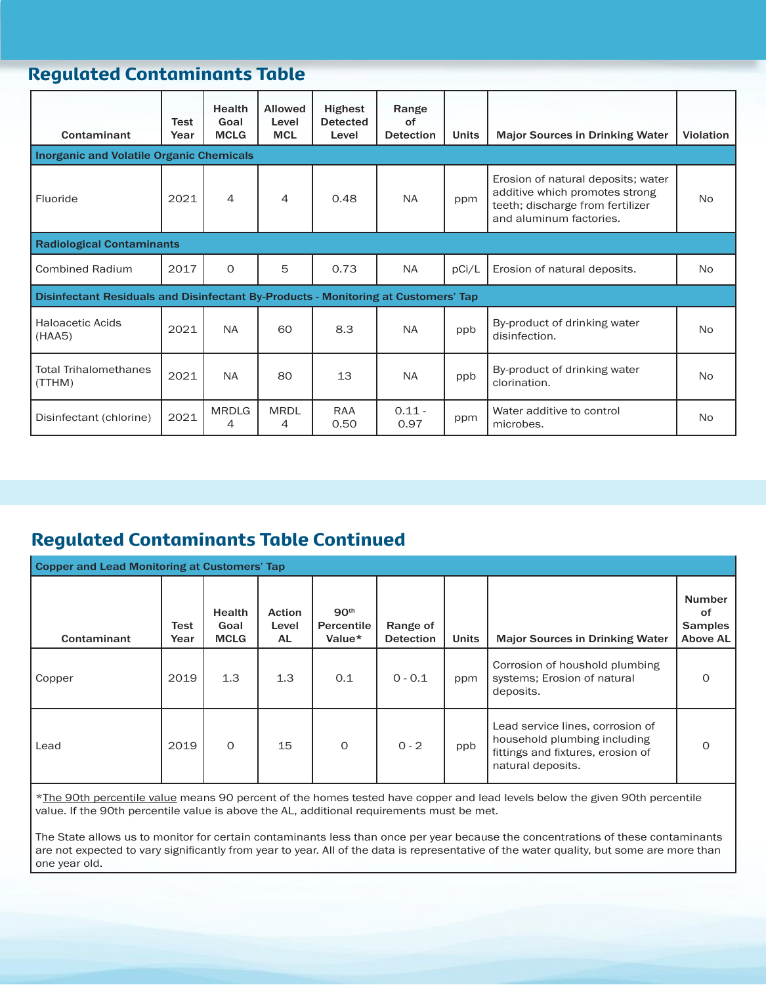## Regulated Contaminants Table

| Contaminant                                                                        | Test<br>Year | Health<br>Goal<br><b>MCLG</b> | <b>Allowed</b><br>Level<br><b>MCL</b> | <b>Highest</b><br><b>Detected</b><br>Level | Range<br>of<br><b>Detection</b> | <b>Units</b> | <b>Major Sources in Drinking Water</b>                                                                                              | Violation      |  |
|------------------------------------------------------------------------------------|--------------|-------------------------------|---------------------------------------|--------------------------------------------|---------------------------------|--------------|-------------------------------------------------------------------------------------------------------------------------------------|----------------|--|
| <b>Inorganic and Volatile Organic Chemicals</b>                                    |              |                               |                                       |                                            |                                 |              |                                                                                                                                     |                |  |
| Fluoride                                                                           | 2021         | $\overline{4}$                | 4                                     | 0.48                                       | <b>NA</b>                       | ppm          | Erosion of natural deposits; water<br>additive which promotes strong<br>teeth; discharge from fertilizer<br>and aluminum factories. | N <sub>o</sub> |  |
| <b>Radiological Contaminants</b>                                                   |              |                               |                                       |                                            |                                 |              |                                                                                                                                     |                |  |
| <b>Combined Radium</b>                                                             | 2017         | $\Omega$                      | 5                                     | 0.73                                       | <b>NA</b>                       | pCi/L        | Erosion of natural deposits.                                                                                                        | No.            |  |
| Disinfectant Residuals and Disinfectant By-Products - Monitoring at Customers' Tap |              |                               |                                       |                                            |                                 |              |                                                                                                                                     |                |  |
| <b>Haloacetic Acids</b><br>(HAA5)                                                  | 2021         | <b>NA</b>                     | 60                                    | 8.3                                        | <b>NA</b>                       | ppb          | By-product of drinking water<br>disinfection.                                                                                       | <b>No</b>      |  |
| <b>Total Trihalomethanes</b><br>(TTHM)                                             | 2021         | <b>NA</b>                     | 80                                    | 13                                         | <b>NA</b>                       | ppb          | By-product of drinking water<br>clorination.                                                                                        | N <sub>o</sub> |  |
| Disinfectant (chlorine)                                                            | 2021         | <b>MRDLG</b><br>4             | <b>MRDL</b><br>4                      | <b>RAA</b><br>0.50                         | $0.11 -$<br>0.97                | ppm          | Water additive to control<br>microbes.                                                                                              | No             |  |

## Regulated Contaminants Table Continued

| <b>Copper and Lead Monitoring at Customers' Tap</b> |              |                                      |                               |                                                 |                              |              |                                                                                                                            |                                                          |  |
|-----------------------------------------------------|--------------|--------------------------------------|-------------------------------|-------------------------------------------------|------------------------------|--------------|----------------------------------------------------------------------------------------------------------------------------|----------------------------------------------------------|--|
| Contaminant                                         | Test<br>Year | <b>Health</b><br>Goal<br><b>MCLG</b> | <b>Action</b><br>Level<br>AL. | 90 <sup>th</sup><br><b>Percentile</b><br>Value* | Range of<br><b>Detection</b> | <b>Units</b> | <b>Major Sources in Drinking Water</b>                                                                                     | <b>Number</b><br>of<br><b>Samples</b><br><b>Above AL</b> |  |
| Copper                                              | 2019         | 1.3                                  | 1.3                           | 0.1                                             | $0 - 0.1$                    | ppm          | Corrosion of houshold plumbing<br>systems; Erosion of natural<br>deposits.                                                 | $\Omega$                                                 |  |
| Lead                                                | 2019         | $\Omega$                             | 15                            | $\Omega$                                        | $0 - 2$                      | ppb          | Lead service lines, corrosion of<br>household plumbing including<br>fittings and fixtures, erosion of<br>natural deposits. | $\Omega$                                                 |  |

\*The 90th percentile value means 90 percent of the homes tested have copper and lead levels below the given 90th percentile value. If the 90th percentile value is above the AL, additional requirements must be met.

The State allows us to monitor for certain contaminants less than once per year because the concentrations of these contaminants are not expected to vary significantly from year to year. All of the data is representative of the water quality, but some are more than one year old.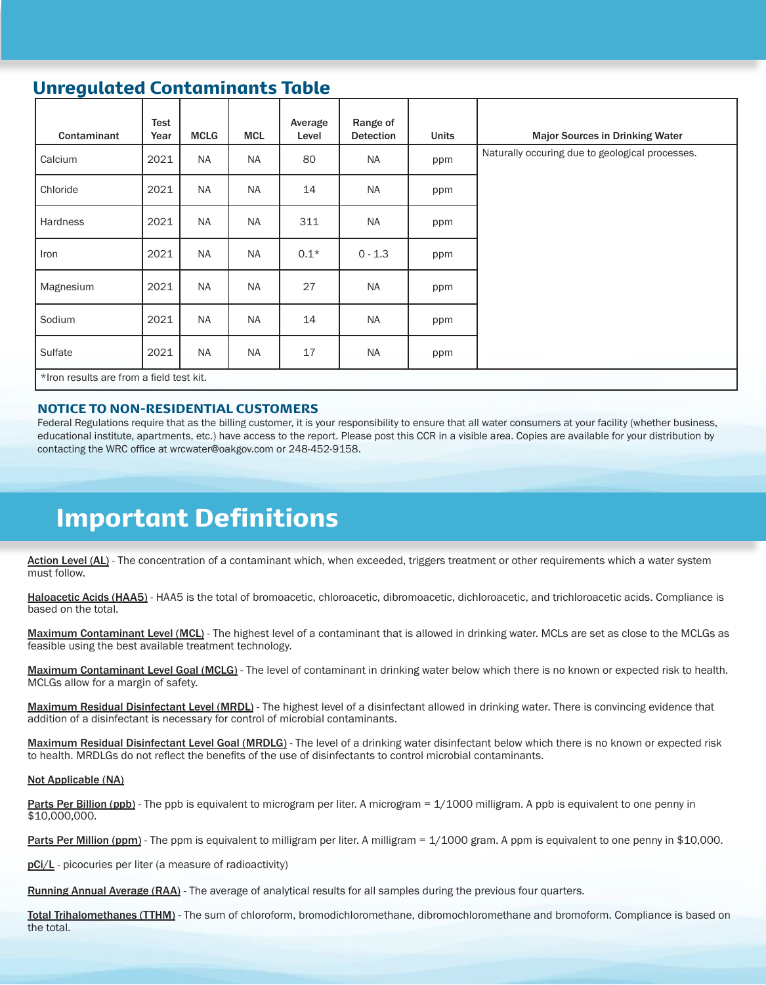## Unregulated Contaminants Table

| Contaminant                              | Test<br>Year | <b>MCLG</b> | <b>MCL</b> | Average<br>Level | Range of<br><b>Detection</b> | <b>Units</b> | <b>Major Sources in Drinking Water</b>          |
|------------------------------------------|--------------|-------------|------------|------------------|------------------------------|--------------|-------------------------------------------------|
| Calcium                                  | 2021         | <b>NA</b>   | <b>NA</b>  | 80               | NA                           | ppm          | Naturally occuring due to geological processes. |
| Chloride                                 | 2021         | <b>NA</b>   | <b>NA</b>  | 14               | NA                           | ppm          |                                                 |
| Hardness                                 | 2021         | <b>NA</b>   | <b>NA</b>  | 311              | <b>NA</b>                    | ppm          |                                                 |
| Iron                                     | 2021         | <b>NA</b>   | <b>NA</b>  | $0.1*$           | $0 - 1.3$                    | ppm          |                                                 |
| Magnesium                                | 2021         | <b>NA</b>   | <b>NA</b>  | 27               | <b>NA</b>                    | ppm          |                                                 |
| Sodium                                   | 2021         | <b>NA</b>   | <b>NA</b>  | 14               | NA                           | ppm          |                                                 |
| Sulfate                                  | 2021         | <b>NA</b>   | <b>NA</b>  | 17               | <b>NA</b>                    | ppm          |                                                 |
| *Iron results are from a field test kit. |              |             |            |                  |                              |              |                                                 |

#### NOTICE TO NON-RESIDENTIAL CUSTOMERS

Federal Regulations require that as the billing customer, it is your responsibility to ensure that all water consumers at your facility (whether business, educational institute, apartments, etc.) have access to the report. Please post this CCR in a visible area. Copies are available for your distribution by contacting the WRC office at wrcwater@oakgov.com or 248-452-9158.

## Important Definitions

Action Level (AL) - The concentration of a contaminant which, when exceeded, triggers treatment or other requirements which a water system must follow.

Haloacetic Acids (HAA5) - HAA5 is the total of bromoacetic, chloroacetic, dibromoacetic, dichloroacetic, and trichloroacetic acids. Compliance is based on the total.

Maximum Contaminant Level (MCL) - The highest level of a contaminant that is allowed in drinking water. MCLs are set as close to the MCLGs as feasible using the best available treatment technology.

Maximum Contaminant Level Goal (MCLG) - The level of contaminant in drinking water below which there is no known or expected risk to health. MCLGs allow for a margin of safety.

Maximum Residual Disinfectant Level (MRDL) - The highest level of a disinfectant allowed in drinking water. There is convincing evidence that addition of a disinfectant is necessary for control of microbial contaminants.

Maximum Residual Disinfectant Level Goal (MRDLG) - The level of a drinking water disinfectant below which there is no known or expected risk to health. MRDLGs do not reflect the benefits of the use of disinfectants to control microbial contaminants.

#### Not Applicable (NA)

Parts Per Billion (ppb) - The ppb is equivalent to microgram per liter. A microgram = 1/1000 milligram. A ppb is equivalent to one penny in \$10,000,000.

Parts Per Million (ppm) - The ppm is equivalent to milligram per liter. A milligram = 1/1000 gram. A ppm is equivalent to one penny in \$10,000.

pCi/L - picocuries per liter (a measure of radioactivity)

Running Annual Average (RAA) - The average of analytical results for all samples during the previous four quarters.

Total Trihalomethanes (TTHM) - The sum of chloroform, bromodichloromethane, dibromochloromethane and bromoform. Compliance is based on the total.